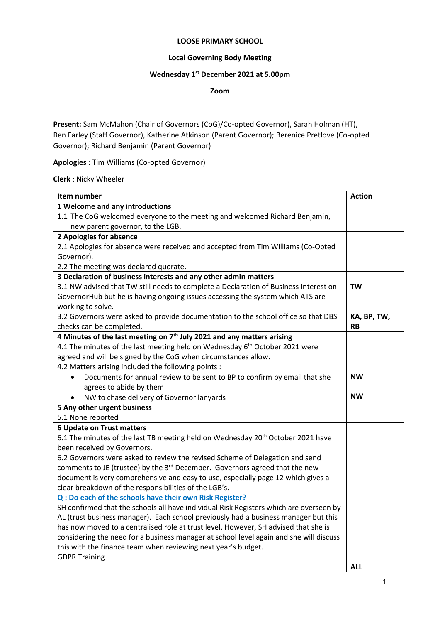#### **LOOSE PRIMARY SCHOOL**

### **Local Governing Body Meeting**

#### **Wednesday 1 st December 2021 at 5.00pm**

**Zoom**

**Present:** Sam McMahon (Chair of Governors (CoG)/Co-opted Governor), Sarah Holman (HT), Ben Farley (Staff Governor), Katherine Atkinson (Parent Governor); Berenice Pretlove (Co-opted Governor); Richard Benjamin (Parent Governor)

**Apologies** : Tim Williams (Co-opted Governor)

**Clerk** : Nicky Wheeler

| Item number                                                                                 | <b>Action</b> |
|---------------------------------------------------------------------------------------------|---------------|
| 1 Welcome and any introductions                                                             |               |
| 1.1 The CoG welcomed everyone to the meeting and welcomed Richard Benjamin,                 |               |
| new parent governor, to the LGB.                                                            |               |
| 2 Apologies for absence                                                                     |               |
| 2.1 Apologies for absence were received and accepted from Tim Williams (Co-Opted            |               |
| Governor).                                                                                  |               |
| 2.2 The meeting was declared quorate.                                                       |               |
| 3 Declaration of business interests and any other admin matters                             |               |
| 3.1 NW advised that TW still needs to complete a Declaration of Business Interest on        | <b>TW</b>     |
| GovernorHub but he is having ongoing issues accessing the system which ATS are              |               |
| working to solve.                                                                           |               |
| 3.2 Governors were asked to provide documentation to the school office so that DBS          | KA, BP, TW,   |
| checks can be completed.                                                                    | <b>RB</b>     |
| 4 Minutes of the last meeting on 7 <sup>th</sup> July 2021 and any matters arising          |               |
| 4.1 The minutes of the last meeting held on Wednesday 6 <sup>th</sup> October 2021 were     |               |
| agreed and will be signed by the CoG when circumstances allow.                              |               |
| 4.2 Matters arising included the following points :                                         |               |
| Documents for annual review to be sent to BP to confirm by email that she                   | <b>NW</b>     |
| agrees to abide by them                                                                     |               |
| NW to chase delivery of Governor lanyards<br>$\bullet$                                      | <b>NW</b>     |
| 5 Any other urgent business                                                                 |               |
| 5.1 None reported                                                                           |               |
| 6 Update on Trust matters                                                                   |               |
| 6.1 The minutes of the last TB meeting held on Wednesday 20 <sup>th</sup> October 2021 have |               |
| been received by Governors.                                                                 |               |
| 6.2 Governors were asked to review the revised Scheme of Delegation and send                |               |
| comments to JE (trustee) by the 3 <sup>rd</sup> December. Governors agreed that the new     |               |
| document is very comprehensive and easy to use, especially page 12 which gives a            |               |
| clear breakdown of the responsibilities of the LGB's.                                       |               |
| Q : Do each of the schools have their own Risk Register?                                    |               |
| SH confirmed that the schools all have individual Risk Registers which are overseen by      |               |
| AL (trust business manager). Each school previously had a business manager but this         |               |
| has now moved to a centralised role at trust level. However, SH advised that she is         |               |
| considering the need for a business manager at school level again and she will discuss      |               |
| this with the finance team when reviewing next year's budget.                               |               |
| <b>GDPR Training</b>                                                                        |               |
|                                                                                             | <b>ALL</b>    |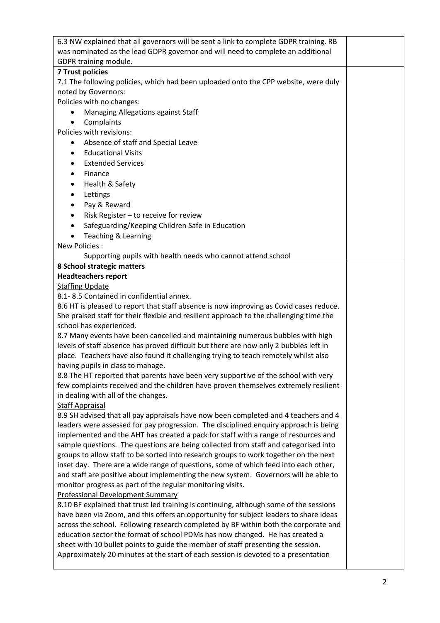| 6.3 NW explained that all governors will be sent a link to complete GDPR training. RB   |  |  |  |  |
|-----------------------------------------------------------------------------------------|--|--|--|--|
| was nominated as the lead GDPR governor and will need to complete an additional         |  |  |  |  |
| GDPR training module.                                                                   |  |  |  |  |
| <b>7 Trust policies</b>                                                                 |  |  |  |  |
| 7.1 The following policies, which had been uploaded onto the CPP website, were duly     |  |  |  |  |
| noted by Governors:                                                                     |  |  |  |  |
| Policies with no changes:                                                               |  |  |  |  |
| Managing Allegations against Staff<br>$\bullet$                                         |  |  |  |  |
| Complaints<br>$\bullet$                                                                 |  |  |  |  |
| Policies with revisions:                                                                |  |  |  |  |
| Absence of staff and Special Leave<br>$\bullet$                                         |  |  |  |  |
| <b>Educational Visits</b><br>$\bullet$                                                  |  |  |  |  |
| <b>Extended Services</b><br>$\bullet$                                                   |  |  |  |  |
| Finance<br>$\bullet$                                                                    |  |  |  |  |
| Health & Safety<br>$\bullet$                                                            |  |  |  |  |
| Lettings<br>$\bullet$                                                                   |  |  |  |  |
|                                                                                         |  |  |  |  |
| Pay & Reward<br>$\bullet$                                                               |  |  |  |  |
| Risk Register - to receive for review<br>$\bullet$                                      |  |  |  |  |
| Safeguarding/Keeping Children Safe in Education<br>$\bullet$                            |  |  |  |  |
| Teaching & Learning<br>$\bullet$                                                        |  |  |  |  |
| New Policies:                                                                           |  |  |  |  |
| Supporting pupils with health needs who cannot attend school                            |  |  |  |  |
| 8 School strategic matters                                                              |  |  |  |  |
| <b>Headteachers report</b>                                                              |  |  |  |  |
| <b>Staffing Update</b>                                                                  |  |  |  |  |
| 8.1-8.5 Contained in confidential annex.                                                |  |  |  |  |
| 8.6 HT is pleased to report that staff absence is now improving as Covid cases reduce.  |  |  |  |  |
| She praised staff for their flexible and resilient approach to the challenging time the |  |  |  |  |
| school has experienced.                                                                 |  |  |  |  |
| 8.7 Many events have been cancelled and maintaining numerous bubbles with high          |  |  |  |  |
| levels of staff absence has proved difficult but there are now only 2 bubbles left in   |  |  |  |  |
| place. Teachers have also found it challenging trying to teach remotely whilst also     |  |  |  |  |
| having pupils in class to manage.                                                       |  |  |  |  |
| 8.8 The HT reported that parents have been very supportive of the school with very      |  |  |  |  |
| few complaints received and the children have proven themselves extremely resilient     |  |  |  |  |
| in dealing with all of the changes.                                                     |  |  |  |  |
| <b>Staff Appraisal</b>                                                                  |  |  |  |  |
| 8.9 SH advised that all pay appraisals have now been completed and 4 teachers and 4     |  |  |  |  |
| leaders were assessed for pay progression. The disciplined enquiry approach is being    |  |  |  |  |
| implemented and the AHT has created a pack for staff with a range of resources and      |  |  |  |  |
| sample questions. The questions are being collected from staff and categorised into     |  |  |  |  |
| groups to allow staff to be sorted into research groups to work together on the next    |  |  |  |  |
| inset day. There are a wide range of questions, some of which feed into each other,     |  |  |  |  |
| and staff are positive about implementing the new system. Governors will be able to     |  |  |  |  |
| monitor progress as part of the regular monitoring visits.                              |  |  |  |  |
| <b>Professional Development Summary</b>                                                 |  |  |  |  |
| 8.10 BF explained that trust led training is continuing, although some of the sessions  |  |  |  |  |
| have been via Zoom, and this offers an opportunity for subject leaders to share ideas   |  |  |  |  |
| across the school. Following research completed by BF within both the corporate and     |  |  |  |  |
| education sector the format of school PDMs has now changed. He has created a            |  |  |  |  |
| sheet with 10 bullet points to guide the member of staff presenting the session.        |  |  |  |  |
| Approximately 20 minutes at the start of each session is devoted to a presentation      |  |  |  |  |
|                                                                                         |  |  |  |  |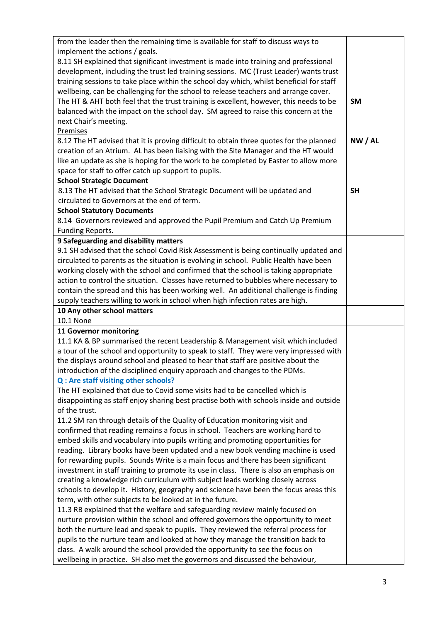| from the leader then the remaining time is available for staff to discuss ways to                                                                                 |           |
|-------------------------------------------------------------------------------------------------------------------------------------------------------------------|-----------|
| implement the actions / goals.                                                                                                                                    |           |
| 8.11 SH explained that significant investment is made into training and professional                                                                              |           |
| development, including the trust led training sessions. MC (Trust Leader) wants trust                                                                             |           |
| training sessions to take place within the school day which, whilst beneficial for staff                                                                          |           |
| wellbeing, can be challenging for the school to release teachers and arrange cover.                                                                               |           |
| The HT & AHT both feel that the trust training is excellent, however, this needs to be                                                                            | <b>SM</b> |
| balanced with the impact on the school day. SM agreed to raise this concern at the                                                                                |           |
| next Chair's meeting.                                                                                                                                             |           |
| Premises                                                                                                                                                          |           |
| 8.12 The HT advised that it is proving difficult to obtain three quotes for the planned                                                                           | NW/AL     |
| creation of an Atrium. AL has been liaising with the Site Manager and the HT would                                                                                |           |
| like an update as she is hoping for the work to be completed by Easter to allow more                                                                              |           |
| space for staff to offer catch up support to pupils.                                                                                                              |           |
| <b>School Strategic Document</b>                                                                                                                                  | <b>SH</b> |
| 8.13 The HT advised that the School Strategic Document will be updated and<br>circulated to Governors at the end of term.                                         |           |
| <b>School Statutory Documents</b>                                                                                                                                 |           |
| 8.14 Governors reviewed and approved the Pupil Premium and Catch Up Premium                                                                                       |           |
| Funding Reports.                                                                                                                                                  |           |
| 9 Safeguarding and disability matters                                                                                                                             |           |
| 9.1 SH advised that the school Covid Risk Assessment is being continually updated and                                                                             |           |
| circulated to parents as the situation is evolving in school. Public Health have been                                                                             |           |
| working closely with the school and confirmed that the school is taking appropriate                                                                               |           |
| action to control the situation. Classes have returned to bubbles where necessary to                                                                              |           |
| contain the spread and this has been working well. An additional challenge is finding                                                                             |           |
| supply teachers willing to work in school when high infection rates are high.                                                                                     |           |
| 10 Any other school matters                                                                                                                                       |           |
| 10.1 None                                                                                                                                                         |           |
| 11 Governor monitoring                                                                                                                                            |           |
| 11.1 KA & BP summarised the recent Leadership & Management visit which included                                                                                   |           |
| a tour of the school and opportunity to speak to staff. They were very impressed with                                                                             |           |
| the displays around school and pleased to hear that staff are positive about the                                                                                  |           |
| introduction of the disciplined enquiry approach and changes to the PDMs.                                                                                         |           |
| Q: Are staff visiting other schools?                                                                                                                              |           |
| The HT explained that due to Covid some visits had to be cancelled which is                                                                                       |           |
| disappointing as staff enjoy sharing best practise both with schools inside and outside                                                                           |           |
| of the trust.                                                                                                                                                     |           |
| 11.2 SM ran through details of the Quality of Education monitoring visit and<br>confirmed that reading remains a focus in school. Teachers are working hard to    |           |
| embed skills and vocabulary into pupils writing and promoting opportunities for                                                                                   |           |
| reading. Library books have been updated and a new book vending machine is used                                                                                   |           |
|                                                                                                                                                                   |           |
|                                                                                                                                                                   |           |
| for rewarding pupils. Sounds Write is a main focus and there has been significant                                                                                 |           |
| investment in staff training to promote its use in class. There is also an emphasis on                                                                            |           |
| creating a knowledge rich curriculum with subject leads working closely across                                                                                    |           |
| schools to develop it. History, geography and science have been the focus areas this                                                                              |           |
| term, with other subjects to be looked at in the future.                                                                                                          |           |
| 11.3 RB explained that the welfare and safeguarding review mainly focused on<br>nurture provision within the school and offered governors the opportunity to meet |           |
| both the nurture lead and speak to pupils. They reviewed the referral process for                                                                                 |           |
| pupils to the nurture team and looked at how they manage the transition back to                                                                                   |           |
| class. A walk around the school provided the opportunity to see the focus on                                                                                      |           |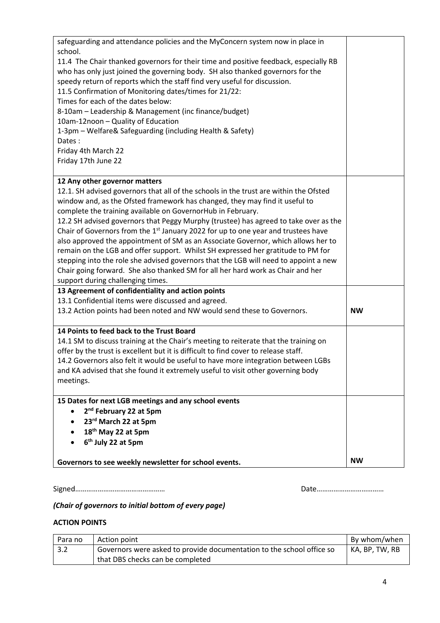| safeguarding and attendance policies and the MyConcern system now in place in |                                                                                               |           |
|-------------------------------------------------------------------------------|-----------------------------------------------------------------------------------------------|-----------|
|                                                                               | school.                                                                                       |           |
|                                                                               | 11.4 The Chair thanked governors for their time and positive feedback, especially RB          |           |
|                                                                               | who has only just joined the governing body. SH also thanked governors for the                |           |
|                                                                               | speedy return of reports which the staff find very useful for discussion.                     |           |
|                                                                               | 11.5 Confirmation of Monitoring dates/times for 21/22:                                        |           |
|                                                                               | Times for each of the dates below:                                                            |           |
|                                                                               | 8-10am – Leadership & Management (inc finance/budget)                                         |           |
|                                                                               | 10am-12noon - Quality of Education                                                            |           |
|                                                                               | 1-3pm - Welfare& Safeguarding (including Health & Safety)<br>Dates:                           |           |
|                                                                               |                                                                                               |           |
|                                                                               | Friday 4th March 22<br>Friday 17th June 22                                                    |           |
|                                                                               |                                                                                               |           |
|                                                                               | 12 Any other governor matters                                                                 |           |
|                                                                               | 12.1. SH advised governors that all of the schools in the trust are within the Ofsted         |           |
|                                                                               | window and, as the Ofsted framework has changed, they may find it useful to                   |           |
|                                                                               | complete the training available on GovernorHub in February.                                   |           |
|                                                                               | 12.2 SH advised governors that Peggy Murphy (trustee) has agreed to take over as the          |           |
|                                                                               | Chair of Governors from the 1 <sup>st</sup> January 2022 for up to one year and trustees have |           |
|                                                                               | also approved the appointment of SM as an Associate Governor, which allows her to             |           |
|                                                                               | remain on the LGB and offer support. Whilst SH expressed her gratitude to PM for              |           |
|                                                                               | stepping into the role she advised governors that the LGB will need to appoint a new          |           |
|                                                                               | Chair going forward. She also thanked SM for all her hard work as Chair and her               |           |
|                                                                               | support during challenging times.                                                             |           |
|                                                                               | 13 Agreement of confidentiality and action points                                             |           |
|                                                                               | 13.1 Confidential items were discussed and agreed.                                            |           |
|                                                                               | 13.2 Action points had been noted and NW would send these to Governors.                       | <b>NW</b> |
|                                                                               | 14 Points to feed back to the Trust Board                                                     |           |
|                                                                               | 14.1 SM to discuss training at the Chair's meeting to reiterate that the training on          |           |
|                                                                               | offer by the trust is excellent but it is difficult to find cover to release staff.           |           |
|                                                                               | 14.2 Governors also felt it would be useful to have more integration between LGBs             |           |
|                                                                               | and KA advised that she found it extremely useful to visit other governing body               |           |
|                                                                               | meetings.                                                                                     |           |
|                                                                               |                                                                                               |           |
|                                                                               | 15 Dates for next LGB meetings and any school events                                          |           |
|                                                                               | 2 <sup>nd</sup> February 22 at 5pm<br>$\bullet$                                               |           |
|                                                                               | 23rd March 22 at 5pm                                                                          |           |
|                                                                               | 18 <sup>th</sup> May 22 at 5pm                                                                |           |
|                                                                               | 6 <sup>th</sup> July 22 at 5pm                                                                |           |
|                                                                               | Governors to see weekly newsletter for school events.                                         | <b>NW</b> |
|                                                                               |                                                                                               |           |

Signed………………………………………… Date………………………………

# *(Chair of governors to initial bottom of every page)*

## **ACTION POINTS**

| Para no | Action point                                                          | By whom/when   |
|---------|-----------------------------------------------------------------------|----------------|
| 3.2     | Governors were asked to provide documentation to the school office so | KA. BP. TW. RB |
|         | that DBS checks can be completed                                      |                |